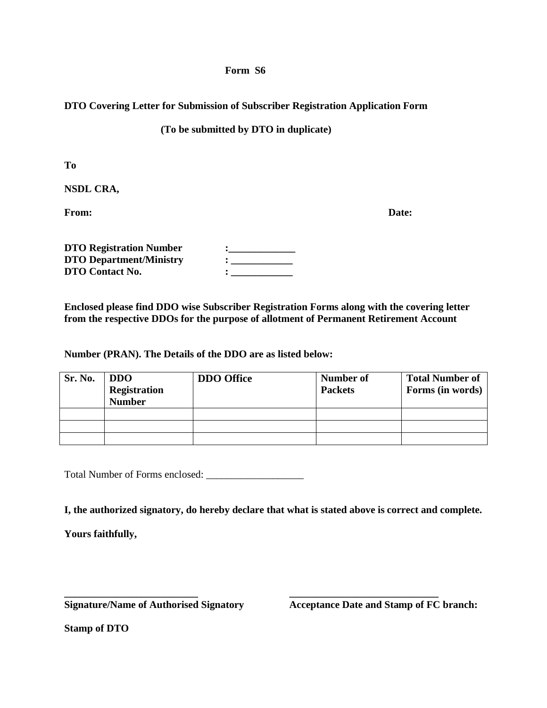## **Form S6**

## **DTO Covering Letter for Submission of Subscriber Registration Application Form**

## **(To be submitted by DTO in duplicate)**

**To** 

**NSDL CRA,** 

**From: Date:** 

| <b>DTO Registration Number</b> |  |
|--------------------------------|--|
| <b>DTO Department/Ministry</b> |  |
| DTO Contact No.                |  |

**Enclosed please find DDO wise Subscriber Registration Forms along with the covering letter from the respective DDOs for the purpose of allotment of Permanent Retirement Account** 

**Number (PRAN). The Details of the DDO are as listed below:** 

| Sr. No. | <b>DDO</b><br><b>Registration</b><br><b>Number</b> | <b>DDO</b> Office | Number of<br><b>Packets</b> | <b>Total Number of</b><br>Forms (in words) |
|---------|----------------------------------------------------|-------------------|-----------------------------|--------------------------------------------|
|         |                                                    |                   |                             |                                            |
|         |                                                    |                   |                             |                                            |
|         |                                                    |                   |                             |                                            |

Total Number of Forms enclosed: \_\_\_\_\_\_\_\_\_\_\_\_\_\_\_\_\_\_\_

**I, the authorized signatory, do hereby declare that what is stated above is correct and complete.** 

**\_\_\_\_\_\_\_\_\_\_\_\_\_\_\_\_\_\_\_\_\_\_\_\_\_\_ \_\_\_\_\_\_\_\_\_\_\_\_\_\_\_\_\_\_\_\_\_\_\_\_\_\_\_\_\_** 

**Yours faithfully,** 

Signature/Name of Authorised Signatory **Acceptance Date and Stamp of FC branch:** 

**Stamp of DTO**